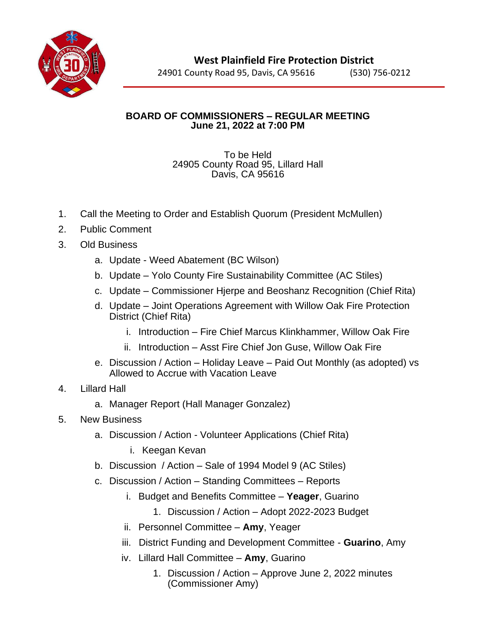

24901 County Road 95, Davis, CA 95616 (530) 756-0212

## **BOARD OF COMMISSIONERS – REGULAR MEETING June 21, 2022 at 7:00 PM**

## To be Held 24905 County Road 95, Lillard Hall Davis, CA 95616

- 1. Call the Meeting to Order and Establish Quorum (President McMullen)
- 2. Public Comment
- 3. Old Business
	- a. Update Weed Abatement (BC Wilson)
	- b. Update Yolo County Fire Sustainability Committee (AC Stiles)
	- c. Update Commissioner Hjerpe and Beoshanz Recognition (Chief Rita)
	- d. Update Joint Operations Agreement with Willow Oak Fire Protection District (Chief Rita)
		- i. Introduction Fire Chief Marcus Klinkhammer, Willow Oak Fire
		- ii. Introduction Asst Fire Chief Jon Guse, Willow Oak Fire
	- e. Discussion / Action Holiday Leave Paid Out Monthly (as adopted) vs Allowed to Accrue with Vacation Leave

## 4. Lillard Hall

- a. Manager Report (Hall Manager Gonzalez)
- 5. New Business
	- a. Discussion / Action Volunteer Applications (Chief Rita)
		- i. Keegan Kevan
	- b. Discussion / Action Sale of 1994 Model 9 (AC Stiles)
	- c. Discussion / Action Standing Committees Reports
		- i. Budget and Benefits Committee **Yeager**, Guarino
			- 1. Discussion / Action Adopt 2022-2023 Budget
		- ii. Personnel Committee **Amy**, Yeager
		- iii. District Funding and Development Committee **Guarino**, Amy
		- iv. Lillard Hall Committee **Amy**, Guarino
			- 1. Discussion / Action Approve June 2, 2022 minutes (Commissioner Amy)